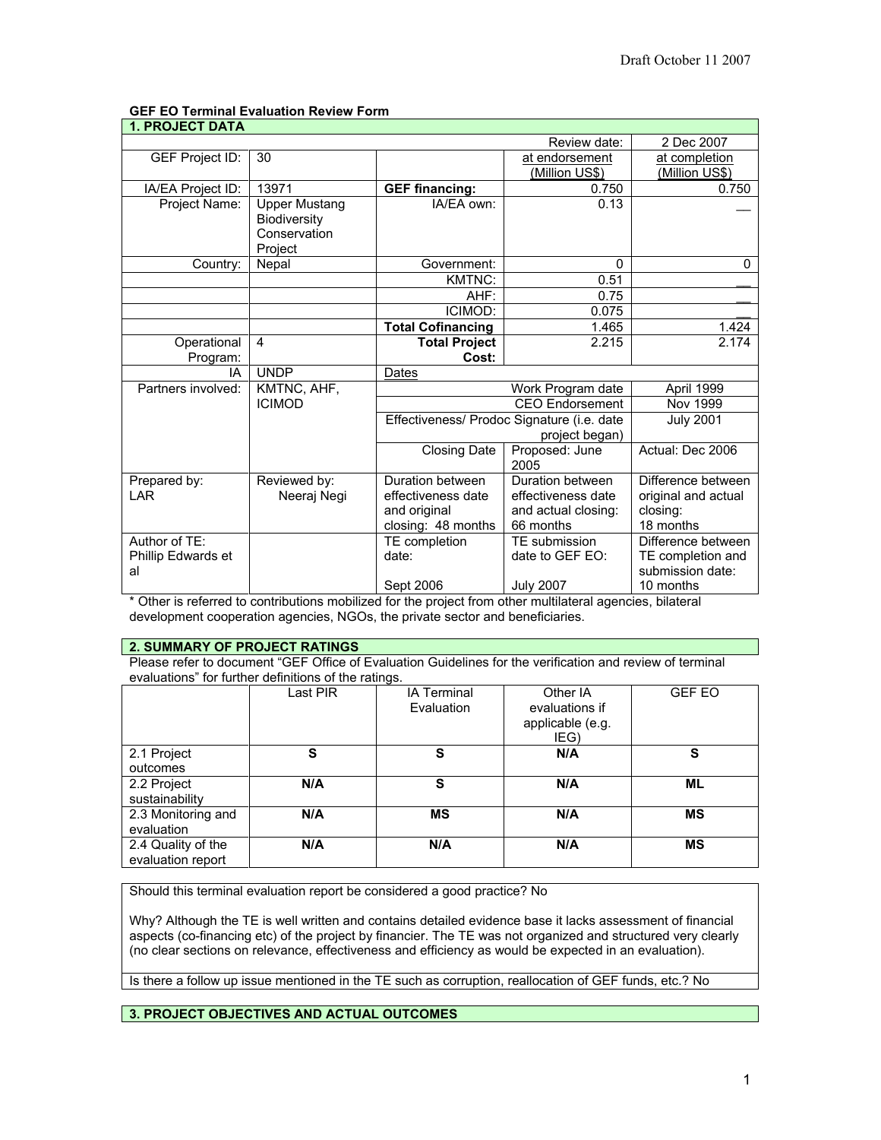# **GEF EO Terminal Evaluation Review Form**

| <b>1. PROJECT DATA</b>            |                      |                                            |                     |                     |
|-----------------------------------|----------------------|--------------------------------------------|---------------------|---------------------|
|                                   |                      | 2 Dec 2007<br>Review date:                 |                     |                     |
| <b>GEF Project ID:</b>            | 30                   |                                            | at endorsement      | at completion       |
|                                   |                      |                                            | (Million US\$)      | (Million US\$)      |
| IA/EA Project ID:                 | 13971                | <b>GEF financing:</b>                      | 0.750               | 0.750               |
| Project Name:                     | <b>Upper Mustang</b> | IA/EA own:                                 | 0.13                |                     |
|                                   | Biodiversity         |                                            |                     |                     |
|                                   | Conservation         |                                            |                     |                     |
|                                   | Project              |                                            |                     |                     |
| Country:                          | Nepal                | Government:                                | $\mathbf{0}$        | $\Omega$            |
|                                   |                      | <b>KMTNC:</b>                              | 0.51                |                     |
|                                   |                      | AHF:                                       | 0.75                |                     |
|                                   |                      | ICIMOD:                                    | 0.075               |                     |
|                                   |                      | <b>Total Cofinancing</b>                   | 1.465               | 1.424               |
| Operational                       | $\overline{4}$       | <b>Total Project</b>                       | 2.215               | 2.174               |
| Program:                          |                      | Cost:                                      |                     |                     |
| ΙA                                | <b>UNDP</b>          | Dates                                      |                     |                     |
| Partners involved:<br>KMTNC, AHF, |                      |                                            | Work Program date   | April 1999          |
|                                   | <b>ICIMOD</b>        | <b>CEO</b> Endorsement                     |                     | Nov 1999            |
|                                   |                      | Effectiveness/ Prodoc Signature (i.e. date |                     | <b>July 2001</b>    |
|                                   |                      | project began)                             |                     |                     |
|                                   |                      | <b>Closing Date</b>                        | Proposed: June      | Actual: Dec 2006    |
|                                   |                      |                                            | 2005                |                     |
| Prepared by:                      | Reviewed by:         | Duration between                           | Duration between    | Difference between  |
| <b>LAR</b>                        | Neeraj Negi          | effectiveness date                         | effectiveness date  | original and actual |
|                                   |                      | and original                               | and actual closing: | closing:            |
|                                   |                      | closing: 48 months                         | 66 months           | 18 months           |
| Author of TE:                     |                      | TE completion                              | TE submission       | Difference between  |
| Phillip Edwards et                |                      | date:                                      | date to GEF EO:     | TE completion and   |
| al                                |                      |                                            |                     | submission date:    |
|                                   |                      | Sept 2006                                  | <b>July 2007</b>    | 10 months           |

\* Other is referred to contributions mobilized for the project from other multilateral agencies, bilateral development cooperation agencies, NGOs, the private sector and beneficiaries.

## **2. SUMMARY OF PROJECT RATINGS**

Please refer to document "GEF Office of Evaluation Guidelines for the verification and review of terminal evaluations" for further definitions of the ratings.

|                                         | Last PIR | <b>IA Terminal</b><br>Evaluation | Other IA<br>evaluations if<br>applicable (e.g.<br>IEG) | <b>GEF EO</b> |
|-----------------------------------------|----------|----------------------------------|--------------------------------------------------------|---------------|
| 2.1 Project<br>outcomes                 | s        | S                                | N/A                                                    | s             |
| 2.2 Project<br>sustainability           | N/A      | S                                | N/A                                                    | ML            |
| 2.3 Monitoring and<br>evaluation        | N/A      | <b>MS</b>                        | N/A                                                    | <b>MS</b>     |
| 2.4 Quality of the<br>evaluation report | N/A      | N/A                              | N/A                                                    | ΜS            |

Should this terminal evaluation report be considered a good practice? No

Why? Although the TE is well written and contains detailed evidence base it lacks assessment of financial aspects (co-financing etc) of the project by financier. The TE was not organized and structured very clearly (no clear sections on relevance, effectiveness and efficiency as would be expected in an evaluation).

Is there a follow up issue mentioned in the TE such as corruption, reallocation of GEF funds, etc.? No

# **3. PROJECT OBJECTIVES AND ACTUAL OUTCOMES**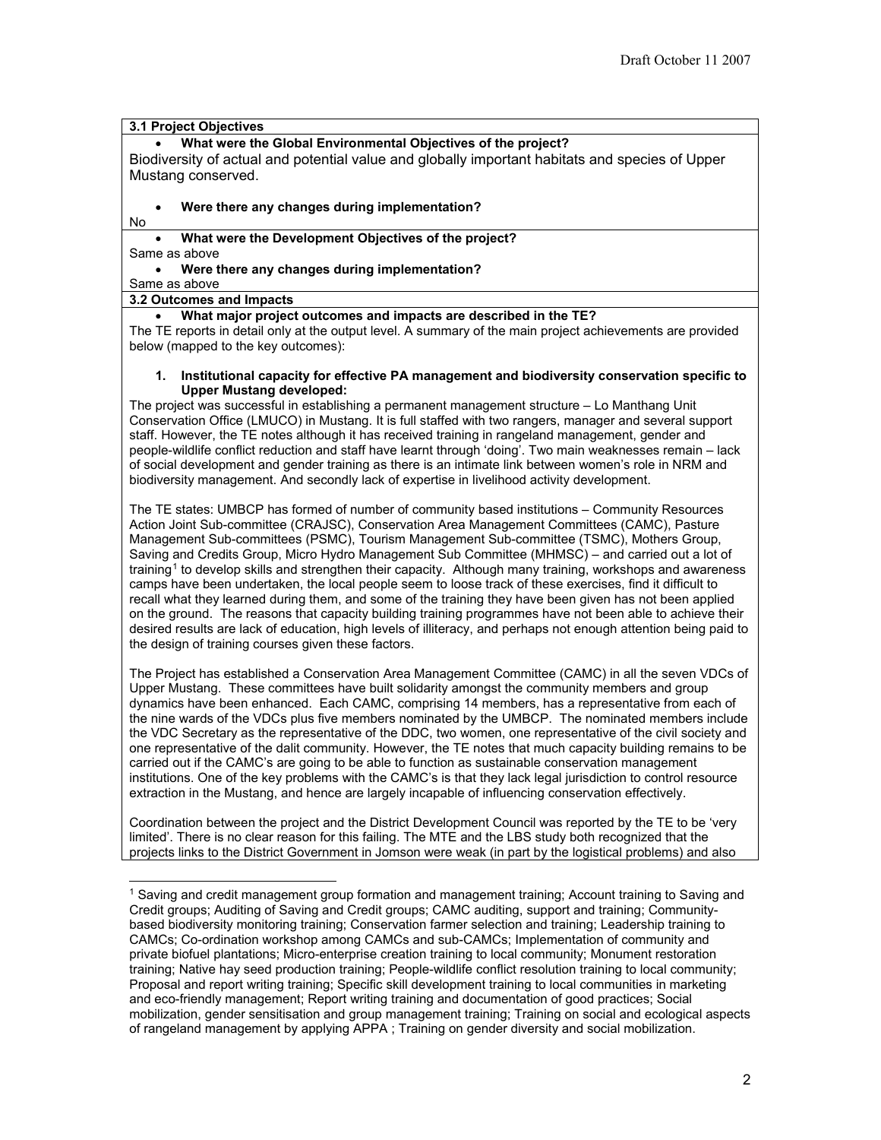# **3.1 Project Objectives**

## • **What were the Global Environmental Objectives of the project?**

Biodiversity of actual and potential value and globally important habitats and species of Upper Mustang conserved.

## • **Were there any changes during implementation?**

No

# • **What were the Development Objectives of the project?**

Same as above

• **Were there any changes during implementation?**

Same as above

# **3.2 Outcomes and Impacts**

• **What major project outcomes and impacts are described in the TE?**

The TE reports in detail only at the output level. A summary of the main project achievements are provided below (mapped to the key outcomes):

#### **1. Institutional capacity for effective PA management and biodiversity conservation specific to Upper Mustang developed:**

The project was successful in establishing a permanent management structure – Lo Manthang Unit Conservation Office (LMUCO) in Mustang. It is full staffed with two rangers, manager and several support staff. However, the TE notes although it has received training in rangeland management, gender and people-wildlife conflict reduction and staff have learnt through 'doing'. Two main weaknesses remain – lack of social development and gender training as there is an intimate link between women's role in NRM and biodiversity management. And secondly lack of expertise in livelihood activity development.

The TE states: UMBCP has formed of number of community based institutions – Community Resources Action Joint Sub-committee (CRAJSC), Conservation Area Management Committees (CAMC), Pasture Management Sub-committees (PSMC), Tourism Management Sub-committee (TSMC), Mothers Group, Saving and Credits Group, Micro Hydro Management Sub Committee (MHMSC) – and carried out a lot of training[1](#page-1-0) to develop skills and strengthen their capacity. Although many training, workshops and awareness camps have been undertaken, the local people seem to loose track of these exercises, find it difficult to recall what they learned during them, and some of the training they have been given has not been applied on the ground. The reasons that capacity building training programmes have not been able to achieve their desired results are lack of education, high levels of illiteracy, and perhaps not enough attention being paid to the design of training courses given these factors.

The Project has established a Conservation Area Management Committee (CAMC) in all the seven VDCs of Upper Mustang. These committees have built solidarity amongst the community members and group dynamics have been enhanced. Each CAMC, comprising 14 members, has a representative from each of the nine wards of the VDCs plus five members nominated by the UMBCP. The nominated members include the VDC Secretary as the representative of the DDC, two women, one representative of the civil society and one representative of the dalit community. However, the TE notes that much capacity building remains to be carried out if the CAMC's are going to be able to function as sustainable conservation management institutions. One of the key problems with the CAMC's is that they lack legal jurisdiction to control resource extraction in the Mustang, and hence are largely incapable of influencing conservation effectively.

Coordination between the project and the District Development Council was reported by the TE to be 'very limited'. There is no clear reason for this failing. The MTE and the LBS study both recognized that the projects links to the District Government in Jomson were weak (in part by the logistical problems) and also

<span id="page-1-0"></span>j  $^{\rm 1}$  Saving and credit management group formation and management training; Account training to Saving and Credit groups; Auditing of Saving and Credit groups; CAMC auditing, support and training; Communitybased biodiversity monitoring training; Conservation farmer selection and training; Leadership training to CAMCs; Co-ordination workshop among CAMCs and sub-CAMCs; Implementation of community and private biofuel plantations; Micro-enterprise creation training to local community; Monument restoration training; Native hay seed production training; People-wildlife conflict resolution training to local community; Proposal and report writing training; Specific skill development training to local communities in marketing and eco-friendly management; Report writing training and documentation of good practices; Social mobilization, gender sensitisation and group management training; Training on social and ecological aspects of rangeland management by applying APPA ; Training on gender diversity and social mobilization.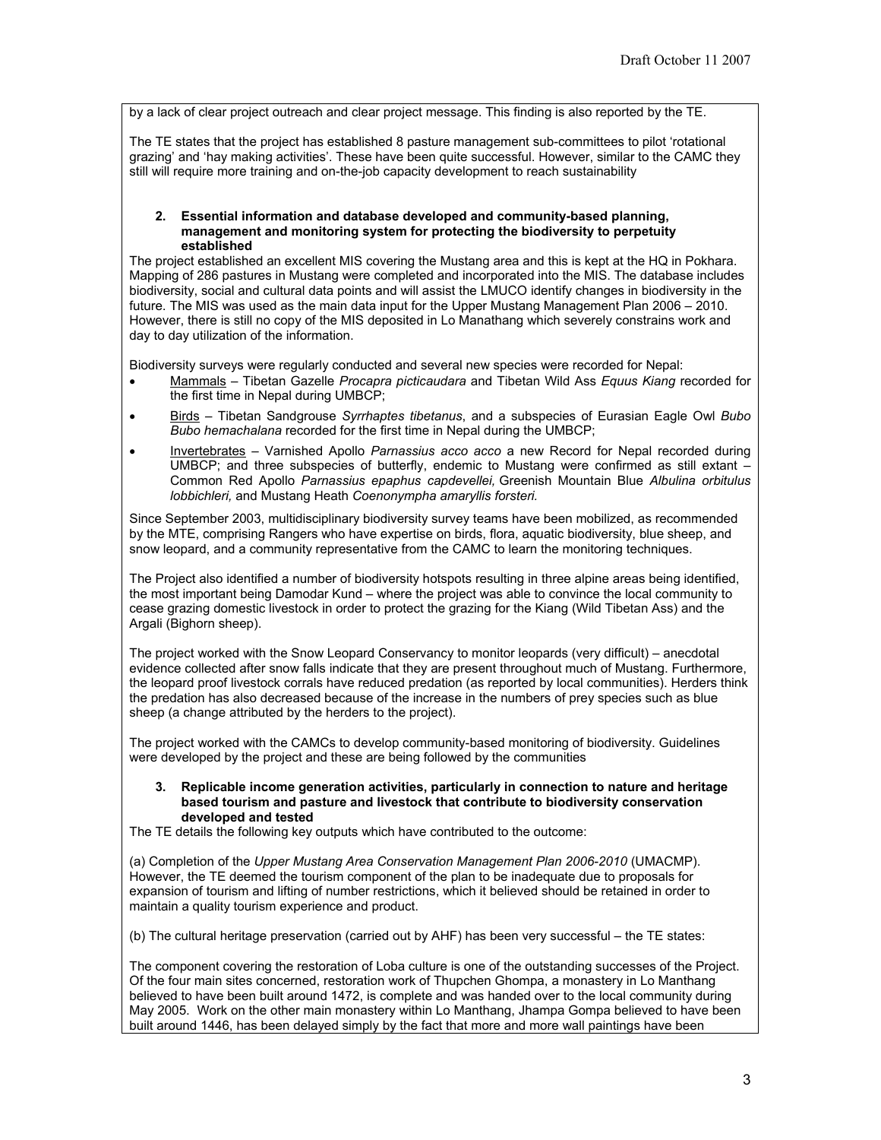by a lack of clear project outreach and clear project message. This finding is also reported by the TE.

The TE states that the project has established 8 pasture management sub-committees to pilot 'rotational grazing' and 'hay making activities'. These have been quite successful. However, similar to the CAMC they still will require more training and on-the-job capacity development to reach sustainability

#### **2. Essential information and database developed and community-based planning, management and monitoring system for protecting the biodiversity to perpetuity established**

The project established an excellent MIS covering the Mustang area and this is kept at the HQ in Pokhara. Mapping of 286 pastures in Mustang were completed and incorporated into the MIS. The database includes biodiversity, social and cultural data points and will assist the LMUCO identify changes in biodiversity in the future. The MIS was used as the main data input for the Upper Mustang Management Plan 2006 – 2010. However, there is still no copy of the MIS deposited in Lo Manathang which severely constrains work and day to day utilization of the information.

Biodiversity surveys were regularly conducted and several new species were recorded for Nepal:

- Mammals Tibetan Gazelle *Procapra picticaudara* and Tibetan Wild Ass *Equus Kiang* recorded for the first time in Nepal during UMBCP;
- Birds Tibetan Sandgrouse *Syrrhaptes tibetanus*, and a subspecies of Eurasian Eagle Owl *Bubo Bubo hemachalana* recorded for the first time in Nepal during the UMBCP;
- Invertebrates Varnished Apollo *Parnassius acco acco* a new Record for Nepal recorded during UMBCP; and three subspecies of butterfly, endemic to Mustang were confirmed as still extant -Common Red Apollo *Parnassius epaphus capdevellei,* Greenish Mountain Blue *Albulina orbitulus lobbichleri,* and Mustang Heath *Coenonympha amaryllis forsteri.*

Since September 2003, multidisciplinary biodiversity survey teams have been mobilized, as recommended by the MTE, comprising Rangers who have expertise on birds, flora, aquatic biodiversity, blue sheep, and snow leopard, and a community representative from the CAMC to learn the monitoring techniques.

The Project also identified a number of biodiversity hotspots resulting in three alpine areas being identified, the most important being Damodar Kund – where the project was able to convince the local community to cease grazing domestic livestock in order to protect the grazing for the Kiang (Wild Tibetan Ass) and the Argali (Bighorn sheep).

The project worked with the Snow Leopard Conservancy to monitor leopards (very difficult) – anecdotal evidence collected after snow falls indicate that they are present throughout much of Mustang. Furthermore, the leopard proof livestock corrals have reduced predation (as reported by local communities). Herders think the predation has also decreased because of the increase in the numbers of prey species such as blue sheep (a change attributed by the herders to the project).

The project worked with the CAMCs to develop community-based monitoring of biodiversity. Guidelines were developed by the project and these are being followed by the communities

#### **3. Replicable income generation activities, particularly in connection to nature and heritage based tourism and pasture and livestock that contribute to biodiversity conservation developed and tested**

The TE details the following key outputs which have contributed to the outcome:

(a) Completion of the *Upper Mustang Area Conservation Management Plan 2006-2010* (UMACMP). However, the TE deemed the tourism component of the plan to be inadequate due to proposals for expansion of tourism and lifting of number restrictions, which it believed should be retained in order to maintain a quality tourism experience and product.

(b) The cultural heritage preservation (carried out by AHF) has been very successful – the TE states:

The component covering the restoration of Loba culture is one of the outstanding successes of the Project. Of the four main sites concerned, restoration work of Thupchen Ghompa, a monastery in Lo Manthang believed to have been built around 1472, is complete and was handed over to the local community during May 2005. Work on the other main monastery within Lo Manthang, Jhampa Gompa believed to have been built around 1446, has been delayed simply by the fact that more and more wall paintings have been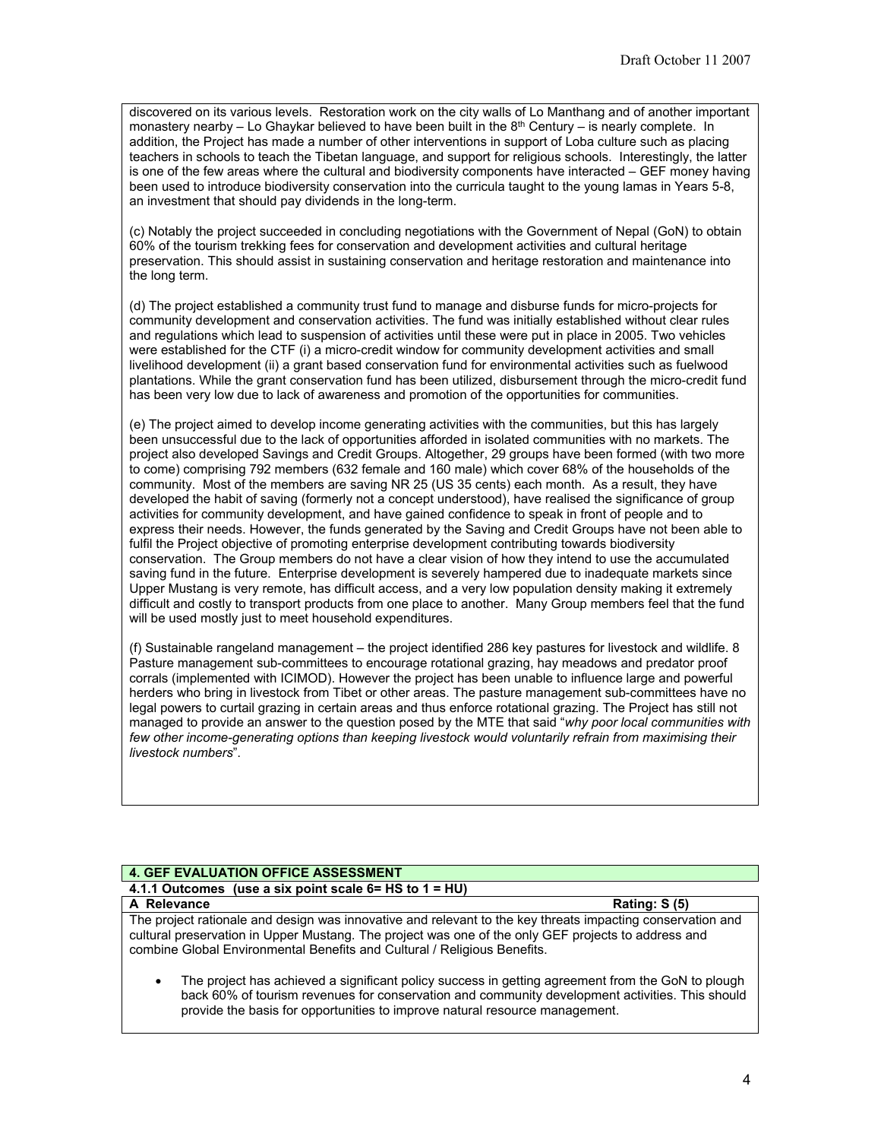discovered on its various levels. Restoration work on the city walls of Lo Manthang and of another important monastery nearby – Lo Ghaykar believed to have been built in the  $8<sup>th</sup>$  Century – is nearly complete. In addition, the Project has made a number of other interventions in support of Loba culture such as placing teachers in schools to teach the Tibetan language, and support for religious schools. Interestingly, the latter is one of the few areas where the cultural and biodiversity components have interacted – GEF money having been used to introduce biodiversity conservation into the curricula taught to the young lamas in Years 5-8, an investment that should pay dividends in the long-term.

(c) Notably the project succeeded in concluding negotiations with the Government of Nepal (GoN) to obtain 60% of the tourism trekking fees for conservation and development activities and cultural heritage preservation. This should assist in sustaining conservation and heritage restoration and maintenance into the long term.

(d) The project established a community trust fund to manage and disburse funds for micro-projects for community development and conservation activities. The fund was initially established without clear rules and regulations which lead to suspension of activities until these were put in place in 2005. Two vehicles were established for the CTF (i) a micro-credit window for community development activities and small livelihood development (ii) a grant based conservation fund for environmental activities such as fuelwood plantations. While the grant conservation fund has been utilized, disbursement through the micro-credit fund has been very low due to lack of awareness and promotion of the opportunities for communities.

(e) The project aimed to develop income generating activities with the communities, but this has largely been unsuccessful due to the lack of opportunities afforded in isolated communities with no markets. The project also developed Savings and Credit Groups. Altogether, 29 groups have been formed (with two more to come) comprising 792 members (632 female and 160 male) which cover 68% of the households of the community. Most of the members are saving NR 25 (US 35 cents) each month. As a result, they have developed the habit of saving (formerly not a concept understood), have realised the significance of group activities for community development, and have gained confidence to speak in front of people and to express their needs. However, the funds generated by the Saving and Credit Groups have not been able to fulfil the Project objective of promoting enterprise development contributing towards biodiversity conservation. The Group members do not have a clear vision of how they intend to use the accumulated saving fund in the future. Enterprise development is severely hampered due to inadequate markets since Upper Mustang is very remote, has difficult access, and a very low population density making it extremely difficult and costly to transport products from one place to another. Many Group members feel that the fund will be used mostly just to meet household expenditures.

(f) Sustainable rangeland management – the project identified 286 key pastures for livestock and wildlife. 8 Pasture management sub-committees to encourage rotational grazing, hay meadows and predator proof corrals (implemented with ICIMOD). However the project has been unable to influence large and powerful herders who bring in livestock from Tibet or other areas. The pasture management sub-committees have no legal powers to curtail grazing in certain areas and thus enforce rotational grazing. The Project has still not managed to provide an answer to the question posed by the MTE that said "*why poor local communities with few other income-generating options than keeping livestock would voluntarily refrain from maximising their livestock numbers*".

# **4. GEF EVALUATION OFFICE ASSESSMENT**

### **4.1.1 Outcomes (use a six point scale 6= HS to 1 = HU)**

### **A Relevance Rating: S (5)**

The project rationale and design was innovative and relevant to the key threats impacting conservation and cultural preservation in Upper Mustang. The project was one of the only GEF projects to address and combine Global Environmental Benefits and Cultural / Religious Benefits.

The project has achieved a significant policy success in getting agreement from the GoN to plough back 60% of tourism revenues for conservation and community development activities. This should provide the basis for opportunities to improve natural resource management.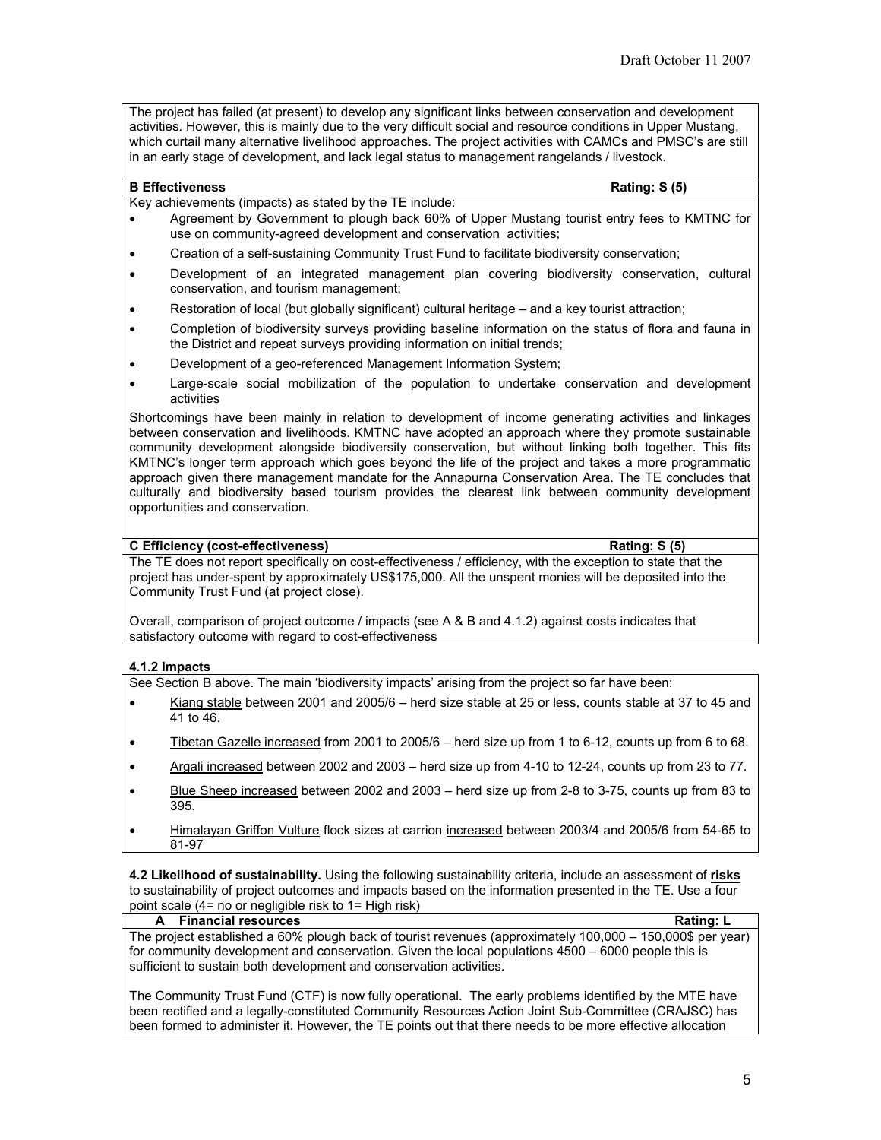The project has failed (at present) to develop any significant links between conservation and development activities. However, this is mainly due to the very difficult social and resource conditions in Upper Mustang, which curtail many alternative livelihood approaches. The project activities with CAMCs and PMSC's are still in an early stage of development, and lack legal status to management rangelands / livestock.

#### **B Effectiveness** Rating: S (5)

Key achievements (impacts) as stated by the TE include:

- Agreement by Government to plough back 60% of Upper Mustang tourist entry fees to KMTNC for use on community-agreed development and conservation activities;
- Creation of a self-sustaining Community Trust Fund to facilitate biodiversity conservation;
- Development of an integrated management plan covering biodiversity conservation, cultural conservation, and tourism management;
- Restoration of local (but globally significant) cultural heritage and a key tourist attraction;
- Completion of biodiversity surveys providing baseline information on the status of flora and fauna in the District and repeat surveys providing information on initial trends;
- Development of a geo-referenced Management Information System;
- Large-scale social mobilization of the population to undertake conservation and development activities

Shortcomings have been mainly in relation to development of income generating activities and linkages between conservation and livelihoods. KMTNC have adopted an approach where they promote sustainable community development alongside biodiversity conservation, but without linking both together. This fits KMTNC's longer term approach which goes beyond the life of the project and takes a more programmatic approach given there management mandate for the Annapurna Conservation Area. The TE concludes that culturally and biodiversity based tourism provides the clearest link between community development opportunities and conservation.

### **C Efficiency (cost-effectiveness) Rating: S (5)**

The TE does not report specifically on cost-effectiveness / efficiency, with the exception to state that the project has under-spent by approximately US\$175,000. All the unspent monies will be deposited into the Community Trust Fund (at project close).

Overall, comparison of project outcome / impacts (see A & B and 4.1.2) against costs indicates that satisfactory outcome with regard to cost-effectiveness

# **4.1.2 Impacts**

See Section B above. The main 'biodiversity impacts' arising from the project so far have been:

- Kiang stable between 2001 and 2005/6 herd size stable at 25 or less, counts stable at 37 to 45 and 41 to 46.
- Tibetan Gazelle increased from 2001 to 2005/6 herd size up from 1 to 6-12, counts up from 6 to 68.
- Argali increased between 2002 and 2003 herd size up from 4-10 to 12-24, counts up from 23 to 77.
- Blue Sheep increased between 2002 and 2003 herd size up from 2-8 to 3-75, counts up from 83 to 395.
- Himalayan Griffon Vulture flock sizes at carrion increased between 2003/4 and 2005/6 from 54-65 to 81-97

**4.2 Likelihood of sustainability.** Using the following sustainability criteria, include an assessment of **risks** to sustainability of project outcomes and impacts based on the information presented in the TE. Use a four point scale (4= no or negligible risk to 1= High risk)

| A Financial resources                                                                                      | Rating: L |
|------------------------------------------------------------------------------------------------------------|-----------|
| The project established a 60% plough back of tourist revenues (approximately 100,000 – 150,000\$ per year) |           |
| for community development and conservation. Given the local populations 4500 – 6000 people this is         |           |
| sufficient to sustain both development and conservation activities.                                        |           |
|                                                                                                            |           |

The Community Trust Fund (CTF) is now fully operational. The early problems identified by the MTE have been rectified and a legally-constituted Community Resources Action Joint Sub-Committee (CRAJSC) has been formed to administer it. However, the TE points out that there needs to be more effective allocation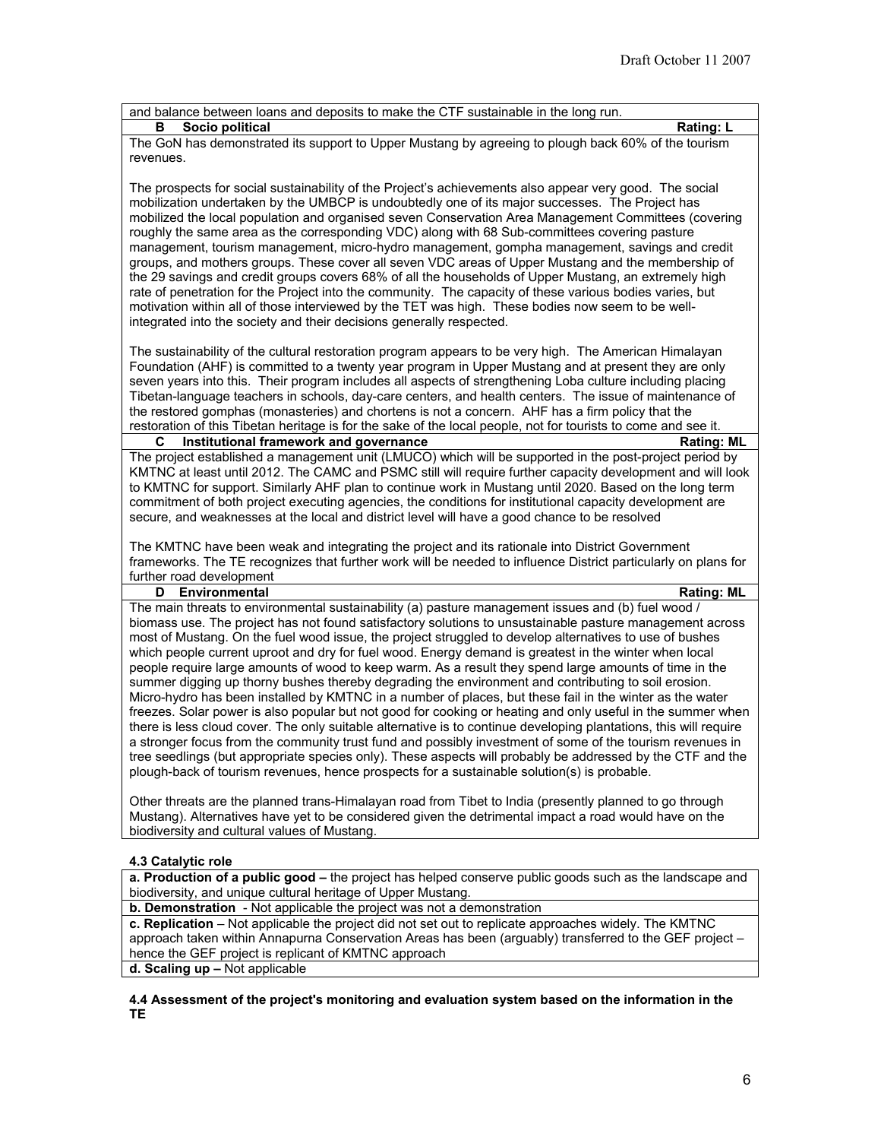| and balance between loans and deposits to make the CTF sustainable in the long run.                                                                                                                                                                                                                                                                                                                                                                                                                                                                                                                                                                                                                                                                                                                                                                                                                                                                                                                                                                                                                                                                                                                                                                                                                                           |  |  |  |
|-------------------------------------------------------------------------------------------------------------------------------------------------------------------------------------------------------------------------------------------------------------------------------------------------------------------------------------------------------------------------------------------------------------------------------------------------------------------------------------------------------------------------------------------------------------------------------------------------------------------------------------------------------------------------------------------------------------------------------------------------------------------------------------------------------------------------------------------------------------------------------------------------------------------------------------------------------------------------------------------------------------------------------------------------------------------------------------------------------------------------------------------------------------------------------------------------------------------------------------------------------------------------------------------------------------------------------|--|--|--|
| Socio political<br><b>Rating: L</b><br>в                                                                                                                                                                                                                                                                                                                                                                                                                                                                                                                                                                                                                                                                                                                                                                                                                                                                                                                                                                                                                                                                                                                                                                                                                                                                                      |  |  |  |
| The GoN has demonstrated its support to Upper Mustang by agreeing to plough back 60% of the tourism<br>revenues.                                                                                                                                                                                                                                                                                                                                                                                                                                                                                                                                                                                                                                                                                                                                                                                                                                                                                                                                                                                                                                                                                                                                                                                                              |  |  |  |
| The prospects for social sustainability of the Project's achievements also appear very good. The social<br>mobilization undertaken by the UMBCP is undoubtedly one of its major successes. The Project has<br>mobilized the local population and organised seven Conservation Area Management Committees (covering<br>roughly the same area as the corresponding VDC) along with 68 Sub-committees covering pasture<br>management, tourism management, micro-hydro management, gompha management, savings and credit<br>groups, and mothers groups. These cover all seven VDC areas of Upper Mustang and the membership of<br>the 29 savings and credit groups covers 68% of all the households of Upper Mustang, an extremely high<br>rate of penetration for the Project into the community. The capacity of these various bodies varies, but<br>motivation within all of those interviewed by the TET was high. These bodies now seem to be well-<br>integrated into the society and their decisions generally respected.                                                                                                                                                                                                                                                                                                  |  |  |  |
| The sustainability of the cultural restoration program appears to be very high. The American Himalayan<br>Foundation (AHF) is committed to a twenty year program in Upper Mustang and at present they are only<br>seven years into this. Their program includes all aspects of strengthening Loba culture including placing<br>Tibetan-language teachers in schools, day-care centers, and health centers. The issue of maintenance of<br>the restored gomphas (monasteries) and chortens is not a concern. AHF has a firm policy that the<br>restoration of this Tibetan heritage is for the sake of the local people, not for tourists to come and see it.                                                                                                                                                                                                                                                                                                                                                                                                                                                                                                                                                                                                                                                                  |  |  |  |
| Institutional framework and governance<br><b>Rating: ML</b><br>С                                                                                                                                                                                                                                                                                                                                                                                                                                                                                                                                                                                                                                                                                                                                                                                                                                                                                                                                                                                                                                                                                                                                                                                                                                                              |  |  |  |
| The project established a management unit (LMUCO) which will be supported in the post-project period by<br>KMTNC at least until 2012. The CAMC and PSMC still will require further capacity development and will look<br>to KMTNC for support. Similarly AHF plan to continue work in Mustang until 2020. Based on the long term<br>commitment of both project executing agencies, the conditions for institutional capacity development are<br>secure, and weaknesses at the local and district level will have a good chance to be resolved<br>The KMTNC have been weak and integrating the project and its rationale into District Government<br>frameworks. The TE recognizes that further work will be needed to influence District particularly on plans for                                                                                                                                                                                                                                                                                                                                                                                                                                                                                                                                                            |  |  |  |
| further road development                                                                                                                                                                                                                                                                                                                                                                                                                                                                                                                                                                                                                                                                                                                                                                                                                                                                                                                                                                                                                                                                                                                                                                                                                                                                                                      |  |  |  |
| Environmental<br><b>Rating: ML</b><br>D                                                                                                                                                                                                                                                                                                                                                                                                                                                                                                                                                                                                                                                                                                                                                                                                                                                                                                                                                                                                                                                                                                                                                                                                                                                                                       |  |  |  |
| The main threats to environmental sustainability (a) pasture management issues and (b) fuel wood /<br>biomass use. The project has not found satisfactory solutions to unsustainable pasture management across<br>most of Mustang. On the fuel wood issue, the project struggled to develop alternatives to use of bushes<br>which people current uproot and dry for fuel wood. Energy demand is greatest in the winter when local<br>people require large amounts of wood to keep warm. As a result they spend large amounts of time in the<br>summer digging up thorny bushes thereby degrading the environment and contributing to soil erosion.<br>Micro-hydro has been installed by KMTNC in a number of places, but these fail in the winter as the water<br>freezes. Solar power is also popular but not good for cooking or heating and only useful in the summer when<br>there is less cloud cover. The only suitable alternative is to continue developing plantations, this will require<br>a stronger focus from the community trust fund and possibly investment of some of the tourism revenues in<br>tree seedlings (but appropriate species only). These aspects will probably be addressed by the CTF and the<br>plough-back of tourism revenues, hence prospects for a sustainable solution(s) is probable. |  |  |  |
| Other threats are the planned trans-Himalayan road from Tibet to India (presently planned to go through<br>Mustang). Alternatives have yet to be considered given the detrimental impact a road would have on the<br>biodiversity and cultural values of Mustang.                                                                                                                                                                                                                                                                                                                                                                                                                                                                                                                                                                                                                                                                                                                                                                                                                                                                                                                                                                                                                                                             |  |  |  |
| 4.3 Catalytic role                                                                                                                                                                                                                                                                                                                                                                                                                                                                                                                                                                                                                                                                                                                                                                                                                                                                                                                                                                                                                                                                                                                                                                                                                                                                                                            |  |  |  |

**a. Production of a public good –** the project has helped conserve public goods such as the landscape and biodiversity, and unique cultural heritage of Upper Mustang.

**b. Demonstration** - Not applicable the project was not a demonstration

**c. Replication** – Not applicable the project did not set out to replicate approaches widely. The KMTNC approach taken within Annapurna Conservation Areas has been (arguably) transferred to the GEF project – hence the GEF project is replicant of KMTNC approach **d. Scaling up –** Not applicable

**4.4 Assessment of the project's monitoring and evaluation system based on the information in the TE**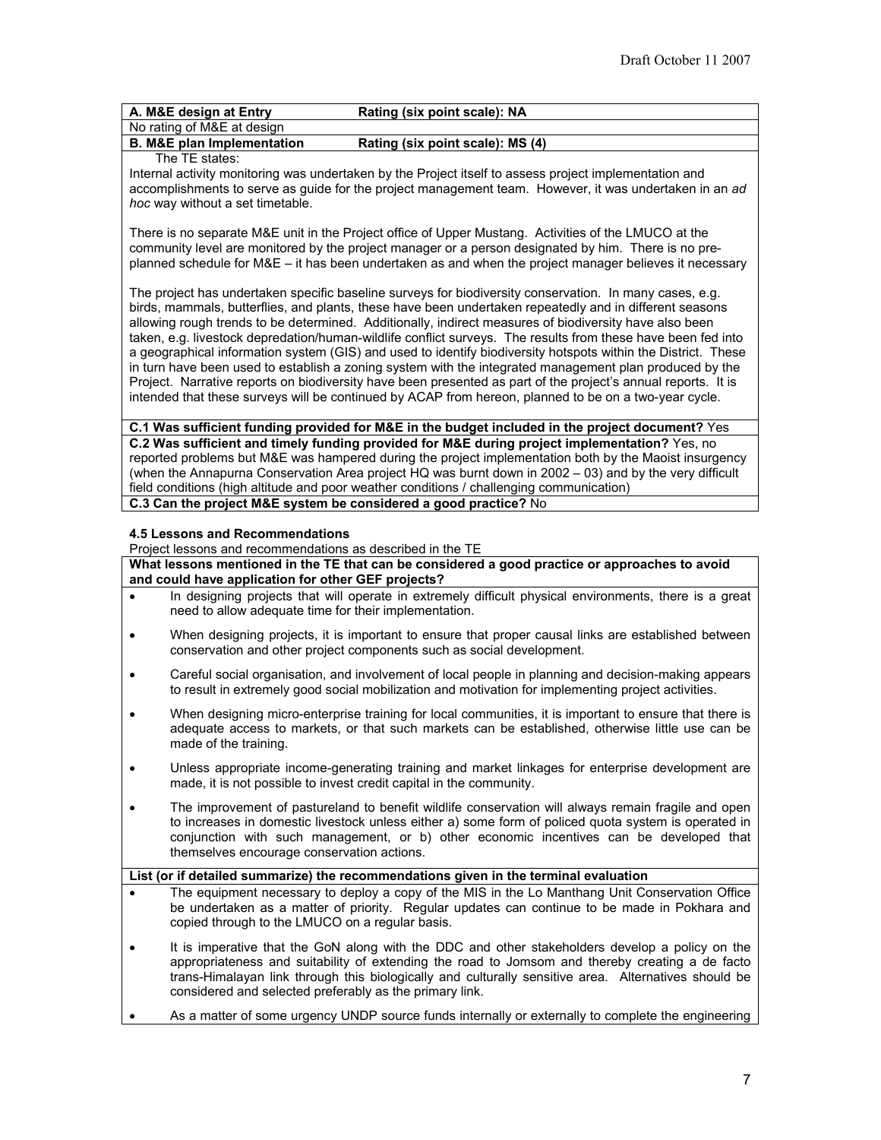|                                                                                                                                                                                                                                                                                                                                                                                                                                                                                                                                                                                                                                                                                                                                                                                                                                                                                                    | A. M&E design at Entry                                                                                                                                                                                                                                                                                                  | Rating (six point scale): NA                                                                                                                                                                                                                                                                                                                                                                                   |  |  |
|----------------------------------------------------------------------------------------------------------------------------------------------------------------------------------------------------------------------------------------------------------------------------------------------------------------------------------------------------------------------------------------------------------------------------------------------------------------------------------------------------------------------------------------------------------------------------------------------------------------------------------------------------------------------------------------------------------------------------------------------------------------------------------------------------------------------------------------------------------------------------------------------------|-------------------------------------------------------------------------------------------------------------------------------------------------------------------------------------------------------------------------------------------------------------------------------------------------------------------------|----------------------------------------------------------------------------------------------------------------------------------------------------------------------------------------------------------------------------------------------------------------------------------------------------------------------------------------------------------------------------------------------------------------|--|--|
|                                                                                                                                                                                                                                                                                                                                                                                                                                                                                                                                                                                                                                                                                                                                                                                                                                                                                                    | No rating of M&E at design                                                                                                                                                                                                                                                                                              |                                                                                                                                                                                                                                                                                                                                                                                                                |  |  |
|                                                                                                                                                                                                                                                                                                                                                                                                                                                                                                                                                                                                                                                                                                                                                                                                                                                                                                    | <b>B. M&amp;E plan Implementation</b>                                                                                                                                                                                                                                                                                   | Rating (six point scale): MS (4)                                                                                                                                                                                                                                                                                                                                                                               |  |  |
| The TE states:<br>Internal activity monitoring was undertaken by the Project itself to assess project implementation and<br>accomplishments to serve as guide for the project management team. However, it was undertaken in an ad<br>hoc way without a set timetable.                                                                                                                                                                                                                                                                                                                                                                                                                                                                                                                                                                                                                             |                                                                                                                                                                                                                                                                                                                         |                                                                                                                                                                                                                                                                                                                                                                                                                |  |  |
|                                                                                                                                                                                                                                                                                                                                                                                                                                                                                                                                                                                                                                                                                                                                                                                                                                                                                                    | There is no separate M&E unit in the Project office of Upper Mustang. Activities of the LMUCO at the<br>community level are monitored by the project manager or a person designated by him. There is no pre-<br>planned schedule for M&E – it has been undertaken as and when the project manager believes it necessary |                                                                                                                                                                                                                                                                                                                                                                                                                |  |  |
| The project has undertaken specific baseline surveys for biodiversity conservation. In many cases, e.g.<br>birds, mammals, butterflies, and plants, these have been undertaken repeatedly and in different seasons<br>allowing rough trends to be determined. Additionally, indirect measures of biodiversity have also been<br>taken, e.g. livestock depredation/human-wildlife conflict surveys. The results from these have been fed into<br>a geographical information system (GIS) and used to identify biodiversity hotspots within the District. These<br>in turn have been used to establish a zoning system with the integrated management plan produced by the<br>Project. Narrative reports on biodiversity have been presented as part of the project's annual reports. It is<br>intended that these surveys will be continued by ACAP from hereon, planned to be on a two-year cycle. |                                                                                                                                                                                                                                                                                                                         |                                                                                                                                                                                                                                                                                                                                                                                                                |  |  |
|                                                                                                                                                                                                                                                                                                                                                                                                                                                                                                                                                                                                                                                                                                                                                                                                                                                                                                    |                                                                                                                                                                                                                                                                                                                         | C.1 Was sufficient funding provided for M&E in the budget included in the project document? Yes                                                                                                                                                                                                                                                                                                                |  |  |
|                                                                                                                                                                                                                                                                                                                                                                                                                                                                                                                                                                                                                                                                                                                                                                                                                                                                                                    |                                                                                                                                                                                                                                                                                                                         | C.2 Was sufficient and timely funding provided for M&E during project implementation? Yes, no<br>reported problems but M&E was hampered during the project implementation both by the Maoist insurgency<br>(when the Annapurna Conservation Area project HQ was burnt down in 2002 - 03) and by the very difficult<br>field conditions (high altitude and poor weather conditions / challenging communication) |  |  |
|                                                                                                                                                                                                                                                                                                                                                                                                                                                                                                                                                                                                                                                                                                                                                                                                                                                                                                    |                                                                                                                                                                                                                                                                                                                         | C.3 Can the project M&E system be considered a good practice? No                                                                                                                                                                                                                                                                                                                                               |  |  |
| 4.5 Lessons and Recommendations<br>Project lessons and recommendations as described in the TE<br>What lessons mentioned in the TE that can be considered a good practice or approaches to avoid<br>and could have application for other GEF projects?                                                                                                                                                                                                                                                                                                                                                                                                                                                                                                                                                                                                                                              |                                                                                                                                                                                                                                                                                                                         |                                                                                                                                                                                                                                                                                                                                                                                                                |  |  |
| $\bullet$                                                                                                                                                                                                                                                                                                                                                                                                                                                                                                                                                                                                                                                                                                                                                                                                                                                                                          | need to allow adequate time for their implementation.                                                                                                                                                                                                                                                                   | In designing projects that will operate in extremely difficult physical environments, there is a great                                                                                                                                                                                                                                                                                                         |  |  |
|                                                                                                                                                                                                                                                                                                                                                                                                                                                                                                                                                                                                                                                                                                                                                                                                                                                                                                    |                                                                                                                                                                                                                                                                                                                         | When designing projects, it is important to ensure that proper causal links are established between<br>conservation and other project components such as social development.                                                                                                                                                                                                                                   |  |  |
|                                                                                                                                                                                                                                                                                                                                                                                                                                                                                                                                                                                                                                                                                                                                                                                                                                                                                                    |                                                                                                                                                                                                                                                                                                                         | Careful social organisation, and involvement of local people in planning and decision-making appears<br>to result in extremely good social mobilization and motivation for implementing project activities.                                                                                                                                                                                                    |  |  |
|                                                                                                                                                                                                                                                                                                                                                                                                                                                                                                                                                                                                                                                                                                                                                                                                                                                                                                    | made of the training.                                                                                                                                                                                                                                                                                                   | When designing micro-enterprise training for local communities, it is important to ensure that there is<br>adequate access to markets, or that such markets can be established, otherwise little use can be                                                                                                                                                                                                    |  |  |
|                                                                                                                                                                                                                                                                                                                                                                                                                                                                                                                                                                                                                                                                                                                                                                                                                                                                                                    |                                                                                                                                                                                                                                                                                                                         | Unless appropriate income-generating training and market linkages for enterprise development are<br>made, it is not possible to invest credit capital in the community.                                                                                                                                                                                                                                        |  |  |
|                                                                                                                                                                                                                                                                                                                                                                                                                                                                                                                                                                                                                                                                                                                                                                                                                                                                                                    | themselves encourage conservation actions.                                                                                                                                                                                                                                                                              | The improvement of pastureland to benefit wildlife conservation will always remain fragile and open<br>to increases in domestic livestock unless either a) some form of policed quota system is operated in<br>conjunction with such management, or b) other economic incentives can be developed that                                                                                                         |  |  |
| List (or if detailed summarize) the recommendations given in the terminal evaluation                                                                                                                                                                                                                                                                                                                                                                                                                                                                                                                                                                                                                                                                                                                                                                                                               |                                                                                                                                                                                                                                                                                                                         |                                                                                                                                                                                                                                                                                                                                                                                                                |  |  |
| $\bullet$                                                                                                                                                                                                                                                                                                                                                                                                                                                                                                                                                                                                                                                                                                                                                                                                                                                                                          | copied through to the LMUCO on a regular basis.                                                                                                                                                                                                                                                                         | The equipment necessary to deploy a copy of the MIS in the Lo Manthang Unit Conservation Office<br>be undertaken as a matter of priority. Regular updates can continue to be made in Pokhara and                                                                                                                                                                                                               |  |  |
|                                                                                                                                                                                                                                                                                                                                                                                                                                                                                                                                                                                                                                                                                                                                                                                                                                                                                                    | considered and selected preferably as the primary link.                                                                                                                                                                                                                                                                 | It is imperative that the GoN along with the DDC and other stakeholders develop a policy on the<br>appropriateness and suitability of extending the road to Jomsom and thereby creating a de facto<br>trans-Himalayan link through this biologically and culturally sensitive area. Alternatives should be                                                                                                     |  |  |

• As a matter of some urgency UNDP source funds internally or externally to complete the engineering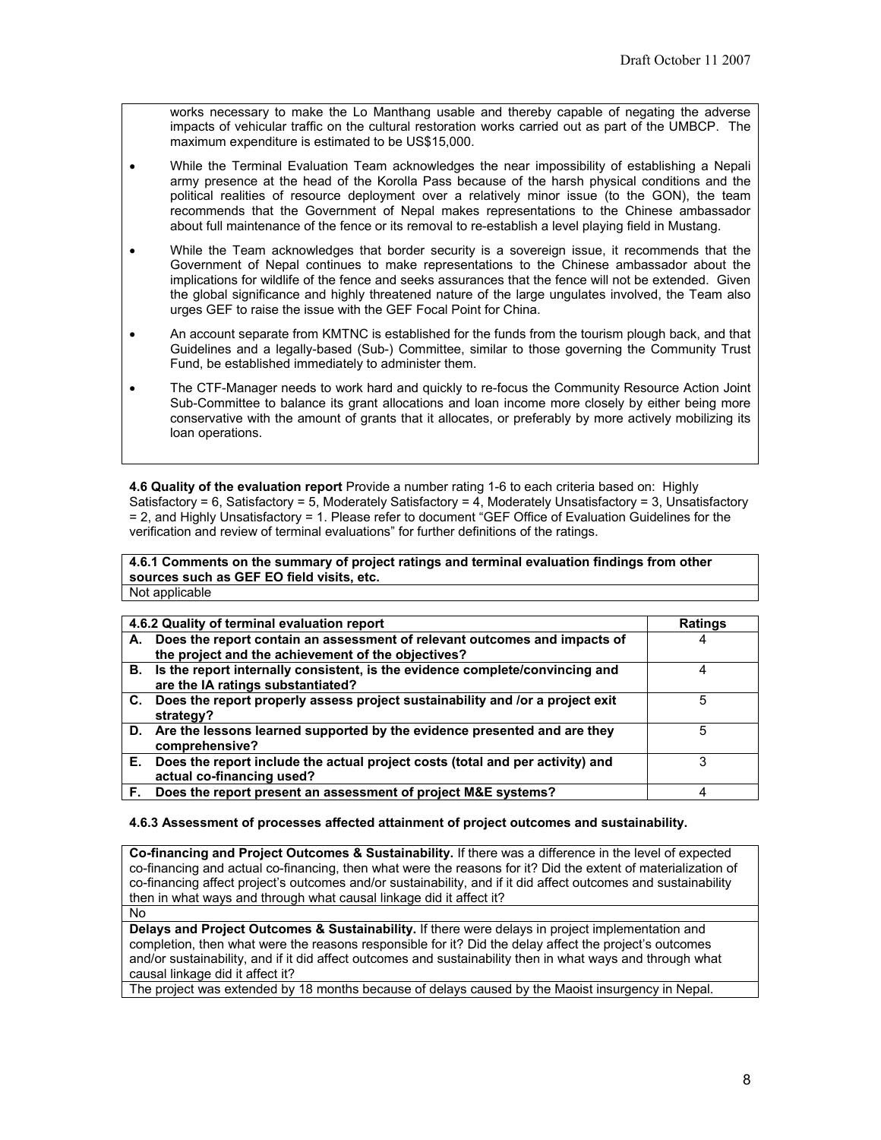works necessary to make the Lo Manthang usable and thereby capable of negating the adverse impacts of vehicular traffic on the cultural restoration works carried out as part of the UMBCP. The maximum expenditure is estimated to be US\$15,000.

- While the Terminal Evaluation Team acknowledges the near impossibility of establishing a Nepali army presence at the head of the Korolla Pass because of the harsh physical conditions and the political realities of resource deployment over a relatively minor issue (to the GON), the team recommends that the Government of Nepal makes representations to the Chinese ambassador about full maintenance of the fence or its removal to re-establish a level playing field in Mustang.
- While the Team acknowledges that border security is a sovereign issue, it recommends that the Government of Nepal continues to make representations to the Chinese ambassador about the implications for wildlife of the fence and seeks assurances that the fence will not be extended. Given the global significance and highly threatened nature of the large ungulates involved, the Team also urges GEF to raise the issue with the GEF Focal Point for China.
- An account separate from KMTNC is established for the funds from the tourism plough back, and that Guidelines and a legally-based (Sub-) Committee, similar to those governing the Community Trust Fund, be established immediately to administer them.
- The CTF-Manager needs to work hard and quickly to re-focus the Community Resource Action Joint Sub-Committee to balance its grant allocations and loan income more closely by either being more conservative with the amount of grants that it allocates, or preferably by more actively mobilizing its loan operations.

**4.6 Quality of the evaluation report** Provide a number rating 1-6 to each criteria based on: Highly Satisfactory = 6, Satisfactory = 5, Moderately Satisfactory = 4, Moderately Unsatisfactory = 3, Unsatisfactory = 2, and Highly Unsatisfactory = 1. Please refer to document "GEF Office of Evaluation Guidelines for the verification and review of terminal evaluations" for further definitions of the ratings.

**4.6.1 Comments on the summary of project ratings and terminal evaluation findings from other sources such as GEF EO field visits, etc.** Not applicable

|    | 4.6.2 Quality of terminal evaluation report                                                                                        | <b>Ratings</b> |
|----|------------------------------------------------------------------------------------------------------------------------------------|----------------|
|    | A. Does the report contain an assessment of relevant outcomes and impacts of<br>the project and the achievement of the objectives? |                |
|    | B. Is the report internally consistent, is the evidence complete/convincing and<br>are the IA ratings substantiated?               |                |
|    | C. Does the report properly assess project sustainability and /or a project exit<br>strategy?                                      | 5              |
|    | D. Are the lessons learned supported by the evidence presented and are they<br>comprehensive?                                      | 5              |
| Е. | Does the report include the actual project costs (total and per activity) and<br>actual co-financing used?                         | 3              |
|    | F. Does the report present an assessment of project M&E systems?                                                                   | 4              |

### **4.6.3 Assessment of processes affected attainment of project outcomes and sustainability.**

**Co-financing and Project Outcomes & Sustainability.** If there was a difference in the level of expected co-financing and actual co-financing, then what were the reasons for it? Did the extent of materialization of co-financing affect project's outcomes and/or sustainability, and if it did affect outcomes and sustainability then in what ways and through what causal linkage did it affect it?

**Delays and Project Outcomes & Sustainability.** If there were delays in project implementation and completion, then what were the reasons responsible for it? Did the delay affect the project's outcomes and/or sustainability, and if it did affect outcomes and sustainability then in what ways and through what causal linkage did it affect it?

The project was extended by 18 months because of delays caused by the Maoist insurgency in Nepal.

No